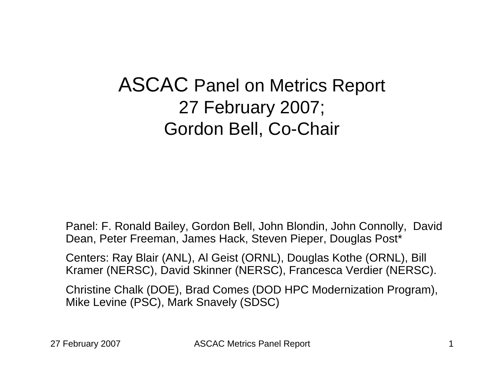### ASCAC Panel on Metrics Report 27 February 2007; Gordon Bell, Co-Chair

Panel: F. Ronald Bailey, Gordon Bell, John Blondin, John Connolly, David Dean, Peter Freeman, James Hack, Steven Pieper, Douglas Post\*

Centers: Ray Blair (ANL), Al Geist (ORNL), Douglas Kothe (ORNL), Bill Kramer (NERSC), David Skinner (NERSC), Francesca Verdier (NERSC).

Christine Chalk (DOE), Brad Comes (DOD HPC Modernization Program), Mike Levine (PSC), Mark Snavely (SDSC)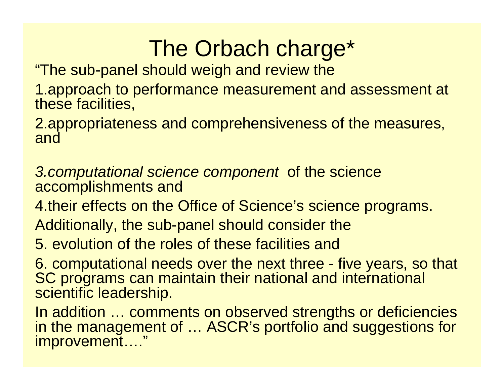# The Orbach charge\*

"The sub-panel should weigh and review the

1.approach to performance measurement and assessment at these facilities,

2.appropriateness and comprehensiveness of the measures, and

*3.computational science component* of the science accomplishments and

4.their effects on the Office of Science's science programs.

Additionally, the sub-panel should consider the

5. evolution of the roles of these facilities and

6. computational needs over the next three - five years, so that SC programs can maintain their national and international scientific leadership.

In addition … comments on observed strengths or deficiencies in the management of … ASCR's portfolio and suggestions for improvement…."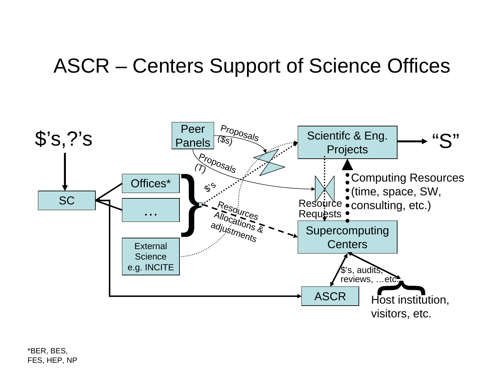### ASCR – Centers Support of Science Offices



\*BER, BES, FES, HEP, NP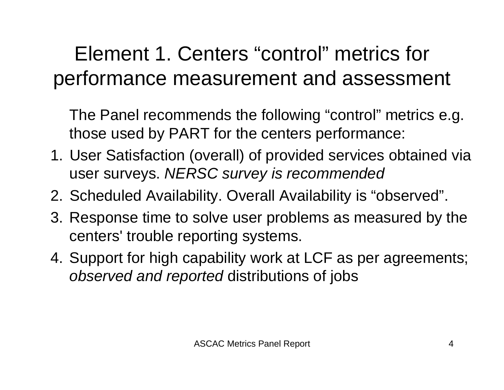## Element 1. Centers "control" metrics for performance measurement and assessment

The Panel recommends the following "control" metrics e.g. those used by PART for the centers performance:

- 1. User Satisfaction (overall) of provided services obtained via user surveys. *NERSC survey is recommended*
- 2. Scheduled Availability. Overall Availability is "observed".
- 3. Response time to solve user problems as measured by the centers' trouble reporting systems.
- 4. Support for high capability work at LCF as per agreements; *observed and reported* distributions of jobs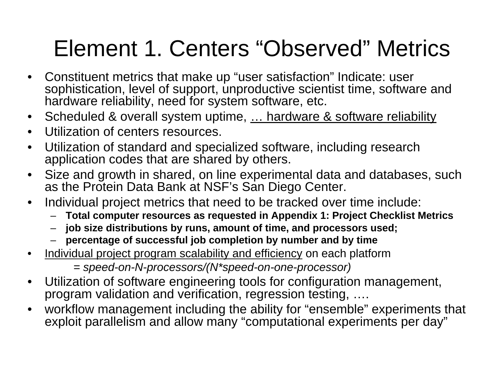# Element 1. Centers "Observed" Metrics

- $\bullet$  Constituent metrics that make up "user satisfaction" Indicate: user sophistication, level of support, unproductive scientist time, software and hardware reliability, need for system software, etc.
- $\bullet$ Scheduled & overall system uptime, ... hardware & software reliability
- $\bullet$ Utilization of centers resources.
- • Utilization of standard and specialized software, including research application codes that are shared by others.
- $\bullet$  Size and growth in shared, on line experimental data and databases, such as the Protein Data Bank at NSF's San Diego Center.
- $\bullet$  Individual project metrics that need to be tracked over time include:
	- **Total computer resources as requested in Appendix 1: Project Checklist Metrics**
	- **job size distributions by runs, amount of time, and processors used;**
	- –**percentage of successful job completion by number and by time**
- $\bullet$ Individual project program scalability and efficiency on each platform

```
= speed-on-N-processors/(N*speed-on-one-processor)
```
- $\bullet$  Utilization of software engineering tools for configuration management, program validation and verification, regression testing, ....
- • workflow management including the ability for "ensemble" experiments that exploit parallelism and allow many "computational experiments per day"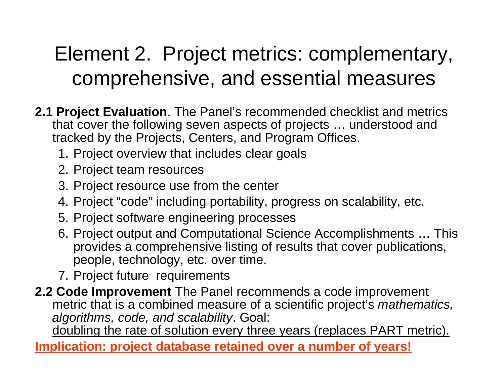## Element 2. Project metrics: complementary, comprehensive, and essential measures

- **2.1 Project Evaluation**. The Panel's recommended checklist and metrics that cover the following seven aspects of projects … understood and tracked by the Projects, Centers, and Program Offices.
	- 1. Project overview that includes clear goals
	- 2. Project team resources
	- 3. Project resource use from the center
	- 4. Project "code" including portability, progress on scalability, etc.
	- 5. Project software engineering processes
	- 6. Project output and Computational Science Accomplishments … This provides a comprehensive listing of results that cover publications, people, technology, etc. over time.
	- 7. Project future requirements
- **2.2 Code Improvement** The Panel recommends a code improvement metric that is a combined measure of a scientific project's *mathematics, algorithms, code, and scalability*. Goal:

doubling the rate of solution every three years (replaces PART metric).

**Implication: project database retained over a number of years!**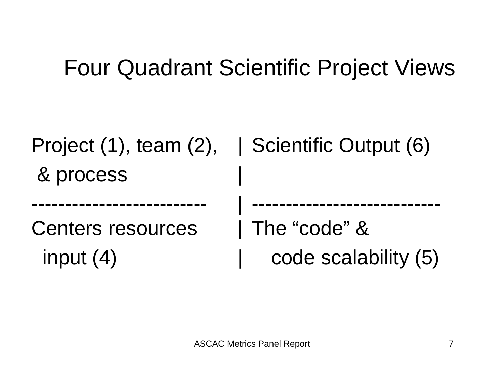# Four Quadrant Scientific Project Views

|                          | Project $(1)$ , team $(2)$ , Scientific Output $(6)$ |
|--------------------------|------------------------------------------------------|
| & process                |                                                      |
|                          |                                                      |
| <b>Centers resources</b> | The "code" &                                         |
| input $(4)$              | code scalability (5)                                 |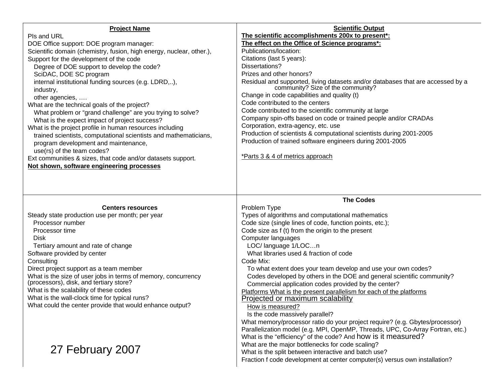| <b>Project Name</b>                                                                                      | <b>Scientific Output</b>                                                                                                                        |
|----------------------------------------------------------------------------------------------------------|-------------------------------------------------------------------------------------------------------------------------------------------------|
| Pls and URL                                                                                              | The scientific accomplishments 200x to present*:                                                                                                |
| DOE Office support: DOE program manager:                                                                 | The effect on the Office of Science programs*:                                                                                                  |
| Scientific domain (chemistry, fusion, high energy, nuclear, other.),                                     | Publications/location:                                                                                                                          |
| Support for the development of the code                                                                  | Citations (last 5 years):                                                                                                                       |
| Degree of DOE support to develop the code?                                                               | Dissertations?                                                                                                                                  |
| SciDAC, DOE SC program                                                                                   | Prizes and other honors?                                                                                                                        |
| internal institutional funding sources (e.g. LDRD,),                                                     |                                                                                                                                                 |
| industry,                                                                                                | Residual and supported, living datasets and/or databases that are accessed by a community? Size of the community?                               |
| other agencies,                                                                                          | Change in code capabilities and quality (t)                                                                                                     |
| What are the technical goals of the project?                                                             | Code contributed to the centers                                                                                                                 |
| What problem or "grand challenge" are you trying to solve?                                               | Code contributed to the scientific community at large                                                                                           |
| What is the expect impact of project success?                                                            | Company spin-offs based on code or trained people and/or CRADAs                                                                                 |
| What is the project profile in human resources including                                                 | Corporation, extra-agency, etc. use                                                                                                             |
| trained scientists, computational scientists and mathematicians,                                         | Production of scientists & computational scientists during 2001-2005                                                                            |
| program development and maintenance,                                                                     | Production of trained software engineers during 2001-2005                                                                                       |
| use(rs) of the team codes?                                                                               |                                                                                                                                                 |
| Ext communities & sizes, that code and/or datasets support.                                              | *Parts 3 & 4 of metrics approach                                                                                                                |
| Not shown, software engineering processes                                                                |                                                                                                                                                 |
|                                                                                                          |                                                                                                                                                 |
|                                                                                                          |                                                                                                                                                 |
|                                                                                                          |                                                                                                                                                 |
|                                                                                                          |                                                                                                                                                 |
|                                                                                                          |                                                                                                                                                 |
|                                                                                                          | <b>The Codes</b>                                                                                                                                |
| <b>Centers resources</b>                                                                                 | Problem Type                                                                                                                                    |
| Steady state production use per month; per year                                                          | Types of algorithms and computational mathematics                                                                                               |
| Processor number                                                                                         | Code size (single lines of code, function points, etc.);                                                                                        |
| Processor time                                                                                           | Code size as f (t) from the origin to the present                                                                                               |
| <b>Disk</b>                                                                                              | Computer languages                                                                                                                              |
| Tertiary amount and rate of change                                                                       | LOC/ language 1/LOCn                                                                                                                            |
| Software provided by center                                                                              | What libraries used & fraction of code                                                                                                          |
| Consulting                                                                                               | Code Mix:                                                                                                                                       |
| Direct project support as a team member                                                                  | To what extent does your team develop and use your own codes?                                                                                   |
| What is the size of user jobs in terms of memory, concurrency<br>(processors), disk, and tertiary store? | Codes developed by others in the DOE and general scientific community?                                                                          |
| What is the scalability of these codes                                                                   | Commercial application codes provided by the center?                                                                                            |
| What is the wall-clock time for typical runs?                                                            | Platforms What is the present parallelism for each of the platforms                                                                             |
|                                                                                                          | Projected or maximum scalability                                                                                                                |
| What could the center provide that would enhance output?                                                 | How is measured?                                                                                                                                |
|                                                                                                          | Is the code massively parallel?                                                                                                                 |
|                                                                                                          | What memory/processor ratio do your project require? (e.g. Gbytes/processor)                                                                    |
|                                                                                                          | Parallelization model (e.g. MPI, OpenMP, Threads, UPC, Co-Array Fortran, etc.)<br>What is the "efficiency" of the code? And how is it measured? |
|                                                                                                          |                                                                                                                                                 |
| 27 February 2007                                                                                         | What are the major bottlenecks for code scaling?                                                                                                |
|                                                                                                          | What is the split between interactive and batch use?<br>Fraction f code development at center computer(s) versus own installation?              |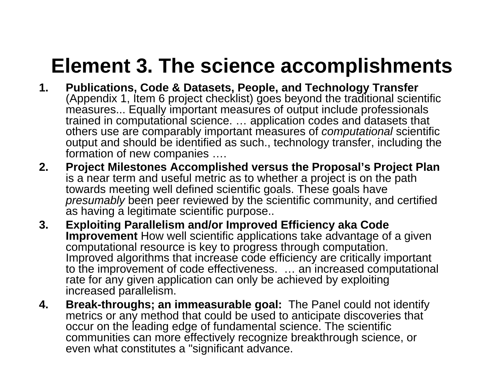## **Element 3. The science accomplishments**

- **1. Publications, Code & Datasets, People, and Technology Transfer**  (Appendix 1, Item 6 project checklist) goes beyond the traditional scientific measures... Equally important measures of output include professionals trained in computational science. … application codes and datasets that others use are comparably important measures of *computational* scientific output and should be identified as such., technology transfer, including the formation of new companies ….
- **2. Project Milestones Accomplished versus the Proposal's Project Plan**  is a near term and useful metric as to whether a project is on the path towards meeting well defined scientific goals. These goals have *presumably* been peer reviewed by the scientific community, and certified as having a legitimate scientific purpose..
- **3. Exploiting Parallelism and/or Improved Efficiency aka Code Improvement** How well scientific applications take advantage of a given computational resource is key to progress through computation. Improved algorithms that increase code efficiency are critically important to the improvement of code effectiveness. … an increased computational rate for any given application can only be achieved by exploiting increased parallelism.
- **4. Break-throughs; an immeasurable goal:** The Panel could not identify metrics or any method that could be used to anticipate discoveries that occur on the leading edge of fundamental science. The scientific communities can more effectively recognize breakthrough science, or even what constitutes a "significant advance.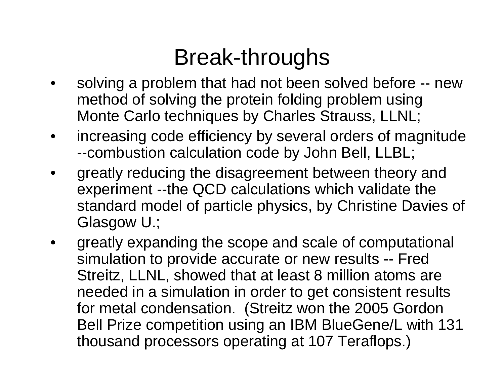# Break-throughs

- • solving a problem that had not been solved before -- new method of solving the protein folding problem using Monte Carlo techniques by Charles Strauss, LLNL;
- • increasing code efficiency by several orders of magnitude --combustion calculation code by John Bell, LLBL;
- • greatly reducing the disagreement between theory and experiment --the QCD calculations which validate the standard model of particle physics, by Christine Davies of Glasgow U.;
- • greatly expanding the scope and scale of computational simulation to provide accurate or new results -- Fred Streitz, LLNL, showed that at least 8 million atoms are needed in a simulation in order to get consistent results for metal condensation. (Streitz won the 2005 Gordon Bell Prize competition using an IBM BlueGene/L with 131 thousand processors operating at 107 Teraflops.)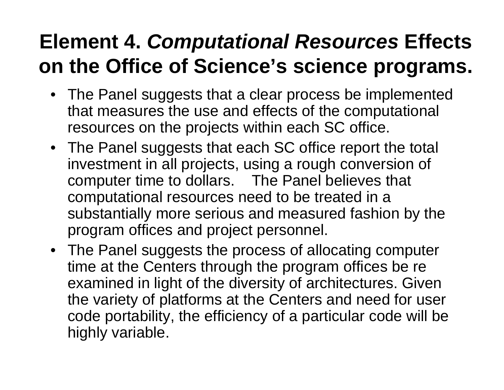## **Element 4.** *Computational Resources* **Effects on the Office of Science's science programs.**

- The Panel suggests that a clear process be implemented that measures the use and effects of the computational resources on the projects within each SC office.
- The Panel suggests that each SC office report the total investment in all projects, using a rough conversion of computer time to dollars. The Panel believes that computational resources need to be treated in a substantially more serious and measured fashion by the program offices and project personnel.
- The Panel suggests the process of allocating computer time at the Centers through the program offices be re examined in light of the diversity of architectures. Given the variety of platforms at the Centers and need for user code portability, the efficiency of a particular code will be highly variable.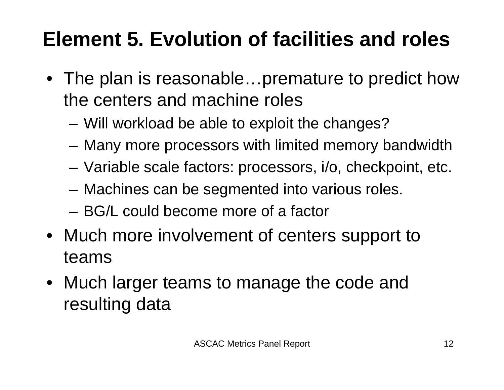# **Element 5. Evolution of facilities and roles**

- The plan is reasonable...premature to predict how the centers and machine roles
	- Will workload be able to exploit the changes?
	- Many more processors with limited memory bandwidth
	- Variable scale factors: processors, i/o, checkpoint, etc.
	- Machines can be segmented into various roles.
	- BG/L could become more of a factor
- Much more involvement of centers support to teams
- Much larger teams to manage the code and resulting data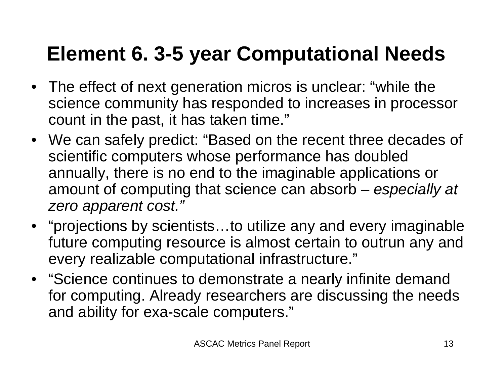## **Element 6. 3-5 year Computational Needs**

- The effect of next generation micros is unclear: "while the science community has responded to increases in processor count in the past, it has taken time."
- We can safely predict: "Based on the recent three decades of scientific computers whose performance has doubled annually, there is no end to the imaginable applications or amount of computing that science can absorb – *especially at zero apparent cost."*
- "projections by scientists…to utilize any and every imaginable future computing resource is almost certain to outrun any and every realizable computational infrastructure."
- "Science continues to demonstrate a nearly infinite demand for computing. Already researchers are discussing the needs and ability for exa-scale computers."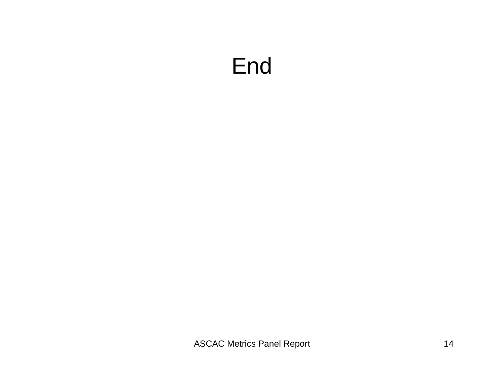## End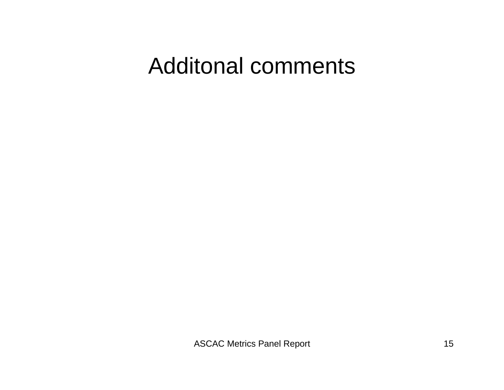## Additonal comments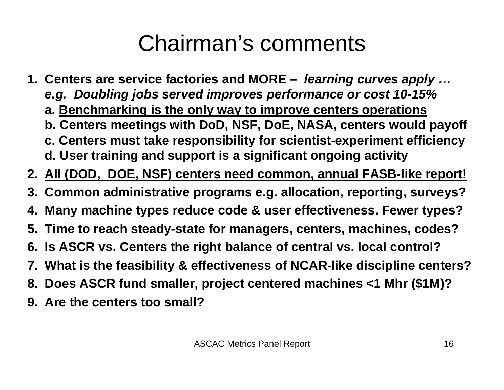# Chairman's comments

- **1. Centers are service factories and MORE –** *learning curves apply … e.g. Doubling jobs served improves performance or cost 10-15%* **a. Benchmarking is the only way to improve centers operations b. Centers meetings with DoD, NSF, DoE, NASA, centers would payoff c. Centers must take responsibility for scientist-experiment efficiency d. User training and support is a significant ongoing activity**
- **2. All (DOD, DOE, NSF) centers need common, annual FASB-like report!**
- **3. Common administrative programs e.g. allocation, reporting, surveys?**
- **4. Many machine types reduce code & user effectiveness. Fewer types?**
- **5. Time to reach steady-state for managers, centers, machines, codes?**
- **6. Is ASCR vs. Centers the right balance of central vs. local control?**
- **7. What is the feasibility & effectiveness of NCAR-like discipline centers?**
- **8. Does ASCR fund smaller, project centered machines <1 Mhr (\$1M)?**
- **9. Are the centers too small?**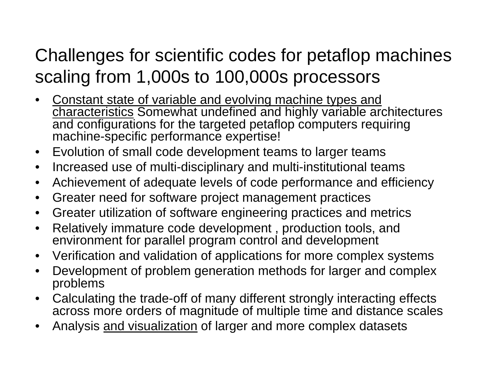### Challenges for scientific codes for petaflop machines scaling from 1,000s to 100,000s processors

- • Constant state of variable and evolving machine types and characteristics Somewhat undefined and highly variable architectures and configurations for the targeted petaflop computers requiring machine-specific performance expertise!
- $\bullet$ Evolution of small code development teams to larger teams
- $\bullet$ Increased use of multi-disciplinary and multi-institutional teams
- $\bullet$ Achievement of adequate levels of code performance and efficiency
- $\bullet$ Greater need for software project management practices
- $\bullet$ Greater utilization of software engineering practices and metrics
- $\bullet$  Relatively immature code development , production tools, and environment for parallel program control and development
- $\bullet$ Verification and validation of applications for more complex systems
- $\bullet$  Development of problem generation methods for larger and complex problems
- $\bullet$  Calculating the trade-off of many different strongly interacting effects across more orders of magnitude of multiple time and distance scales
- •Analysis and visualization of larger and more complex datasets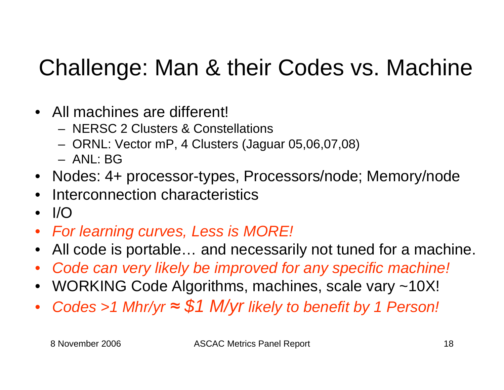# Challenge: Man & their Codes vs. Machine

- All machines are different!
	- NERSC 2 Clusters & Constellations
	- ORNL: Vector mP, 4 Clusters (Jaguar 05,06,07,08)
	- ANL: BG
- Nodes: 4+ processor-types, Processors/node; Memory/node
- •Interconnection characteristics
- $\bullet$ I/O
- *For learning curves, Less is MORE!*
- •All code is portable… and necessarily not tuned for a machine.
- •*Code can very likely be improved for any specific machine!*
- •WORKING Code Algorithms, machines, scale vary ~10X!
- •*Codes >1 Mhr/yr <sup>≈</sup> \$1 M/yr likely to benefit by 1 Person!*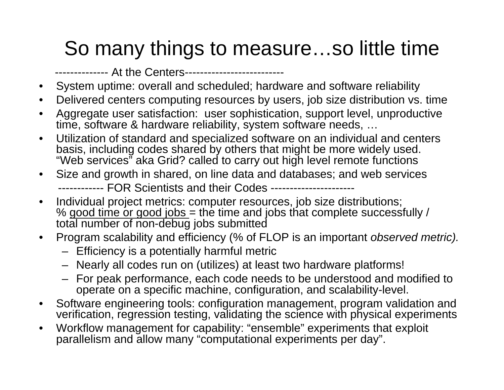## So many things to measure…so little time

-------------- At the Centers--------------------------

- •System uptime: overall and scheduled; hardware and software reliability
- $\bullet$ Delivered centers computing resources by users, job size distribution vs. time
- $\bullet$  Aggregate user satisfaction: user sophistication, support level, unproductive time, software & hardware reliability, system software needs, …
- $\bullet$  Utilization of standard and specialized software on an individual and centers basis, including codes shared by others that might be more widely used. "Web services" aka Grid? called to carry out high level remote functions
- $\bullet$  Size and growth in shared, on line data and databases; and web services ------------ FOR Scientists and their Codes ----------------------
- $\bullet$  Individual project metrics: computer resources, job size distributions; % good time or good jobs = the time and jobs that complete successfully / total number of non-debug jobs submitted
- $\bullet$  Program scalability and efficiency (% of FLOP is an important *observed metric).*
	- Efficiency is a potentially harmful metric
	- Nearly all codes run on (utilizes) at least two hardware platforms!
	- For peak performance, each code needs to be understood and modified to operate on a specific machine, configuration, and scalability-level.
- • Software engineering tools: configuration management, program validation and verification, regression testing, validating the science with physical experiments
- $\bullet$  Workflow management for capability: "ensemble" experiments that exploit parallelism and allow many "computational experiments per day".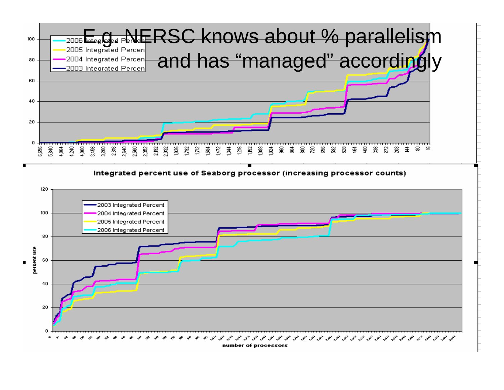

Integrated percent use of Seaborg processor (increasing processor counts)

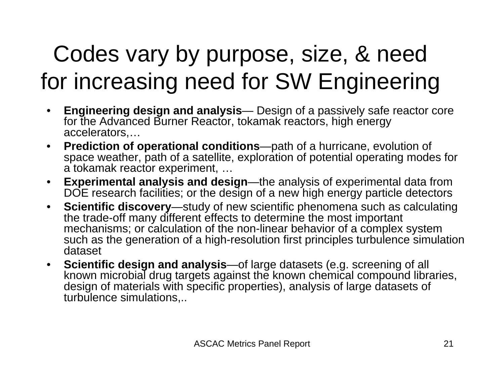# Codes vary by purpose, size, & need for increasing need for SW Engineering

- • **Engineering design and analysis**— Design of a passively safe reactor core for the Advanced Burner Reactor, tokamak reactors, high energy accelerators,…
- **Prediction of operational conditions**—path of a hurricane, evolution of space weather, path of a satellite, exploration of potential operating modes for a tokamak reactor experiment, …
- **Experimental analysis and design**—the analysis of experimental data from DOE research facilities; or the design of a new high energy particle detectors
- • **Scientific discovery**—study of new scientific phenomena such as calculating the trade-off many different effects to determine the most important mechanisms; or calculation of the non-linear behavior of a complex system such as the generation of a high-resolution first principles turbulence simulation dataset
- **Scientific design and analysis**—of large datasets (e.g. screening of all known microbial drug targets against the known chemical compound libraries, design of materials with specific properties), analysis of large datasets of turbulence simulations,..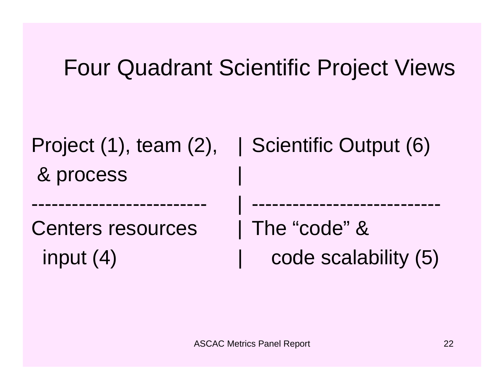## Four Quadrant Scientific Project Views

| Project $(1)$ , team $(2)$ , | Scientific Output (6) |
|------------------------------|-----------------------|
| & process                    |                       |
|                              |                       |
| <b>Centers resources</b>     | The "code" &          |
| input $(4)$                  | code scalability (5)  |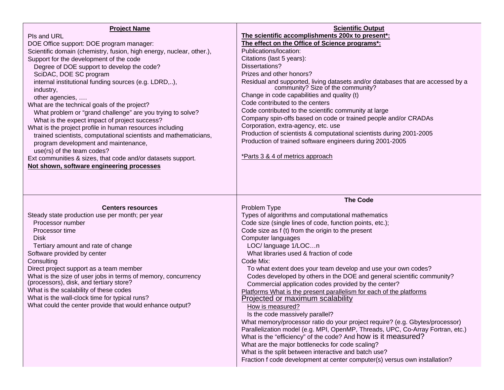| <b>Project Name</b><br>Pls and URL<br>DOE Office support: DOE program manager:<br>Scientific domain (chemistry, fusion, high energy, nuclear, other.),<br>Support for the development of the code<br>Degree of DOE support to develop the code?                               | <b>Scientific Output</b><br>The scientific accomplishments 200x to present*:<br>The effect on the Office of Science programs*:<br>Publications/location:<br>Citations (last 5 years):<br>Dissertations?                                                                                                                                                     |
|-------------------------------------------------------------------------------------------------------------------------------------------------------------------------------------------------------------------------------------------------------------------------------|-------------------------------------------------------------------------------------------------------------------------------------------------------------------------------------------------------------------------------------------------------------------------------------------------------------------------------------------------------------|
| SciDAC, DOE SC program<br>internal institutional funding sources (e.g. LDRD,),<br>industry,<br>other agencies,<br>What are the technical goals of the project?<br>What problem or "grand challenge" are you trying to solve?<br>What is the expect impact of project success? | Prizes and other honors?<br>Residual and supported, living datasets and/or databases that are accessed by a community? Size of the community?<br>Change in code capabilities and quality (t)<br>Code contributed to the centers<br>Code contributed to the scientific community at large<br>Company spin-offs based on code or trained people and/or CRADAs |
| What is the project profile in human resources including<br>trained scientists, computational scientists and mathematicians,<br>program development and maintenance,<br>use(rs) of the team codes?                                                                            | Corporation, extra-agency, etc. use<br>Production of scientists & computational scientists during 2001-2005<br>Production of trained software engineers during 2001-2005                                                                                                                                                                                    |
| Ext communities & sizes, that code and/or datasets support.<br>Not shown, software engineering processes                                                                                                                                                                      | *Parts 3 & 4 of metrics approach                                                                                                                                                                                                                                                                                                                            |
|                                                                                                                                                                                                                                                                               |                                                                                                                                                                                                                                                                                                                                                             |
|                                                                                                                                                                                                                                                                               | <b>The Code</b>                                                                                                                                                                                                                                                                                                                                             |
| <b>Centers resources</b>                                                                                                                                                                                                                                                      | Problem Type                                                                                                                                                                                                                                                                                                                                                |
| Steady state production use per month; per year                                                                                                                                                                                                                               | Types of algorithms and computational mathematics                                                                                                                                                                                                                                                                                                           |
| Processor number<br>Processor time                                                                                                                                                                                                                                            | Code size (single lines of code, function points, etc.);                                                                                                                                                                                                                                                                                                    |
| <b>Disk</b>                                                                                                                                                                                                                                                                   | Code size as f (t) from the origin to the present<br>Computer languages                                                                                                                                                                                                                                                                                     |
| Tertiary amount and rate of change                                                                                                                                                                                                                                            | LOC/ language 1/LOCn                                                                                                                                                                                                                                                                                                                                        |
| Software provided by center                                                                                                                                                                                                                                                   | What libraries used & fraction of code                                                                                                                                                                                                                                                                                                                      |
| Consulting                                                                                                                                                                                                                                                                    | Code Mix:                                                                                                                                                                                                                                                                                                                                                   |
| Direct project support as a team member                                                                                                                                                                                                                                       | To what extent does your team develop and use your own codes?                                                                                                                                                                                                                                                                                               |
| What is the size of user jobs in terms of memory, concurrency<br>(processors), disk, and tertiary store?                                                                                                                                                                      | Codes developed by others in the DOE and general scientific community?<br>Commercial application codes provided by the center?                                                                                                                                                                                                                              |
| What is the scalability of these codes                                                                                                                                                                                                                                        | Platforms What is the present parallelism for each of the platforms                                                                                                                                                                                                                                                                                         |
| What is the wall-clock time for typical runs?                                                                                                                                                                                                                                 | Projected or maximum scalability                                                                                                                                                                                                                                                                                                                            |
| What could the center provide that would enhance output?                                                                                                                                                                                                                      | How is measured?                                                                                                                                                                                                                                                                                                                                            |
|                                                                                                                                                                                                                                                                               | Is the code massively parallel?<br>What memory/processor ratio do your project require? (e.g. Gbytes/processor)                                                                                                                                                                                                                                             |
|                                                                                                                                                                                                                                                                               | Parallelization model (e.g. MPI, OpenMP, Threads, UPC, Co-Array Fortran, etc.)                                                                                                                                                                                                                                                                              |
|                                                                                                                                                                                                                                                                               | What is the "efficiency" of the code? And how is it measured?                                                                                                                                                                                                                                                                                               |
|                                                                                                                                                                                                                                                                               | What are the major bottlenecks for code scaling?<br>What is the split between interactive and batch use?                                                                                                                                                                                                                                                    |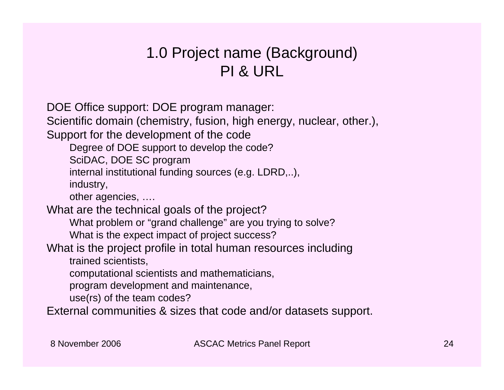#### 1.0 Project name (Background) PI & URL

DOE Office support: DOE program manager:

Scientific domain (chemistry, fusion, high energy, nuclear, other.),

Support for the development of the code

Degree of DOE support to develop the code?

SciDAC, DOE SC program

internal institutional funding sources (e.g. LDRD,..),

industry,

other agencies, ….

What are the technical goals of the project?

What problem or "grand challenge" are you trying to solve?

What is the expect impact of project success?

#### What is the project profile in total human resources including

trained scientists,

computational scientists and mathematicians,

program development and maintenance,

use(rs) of the team codes?

External communities & sizes that code and/or datasets support.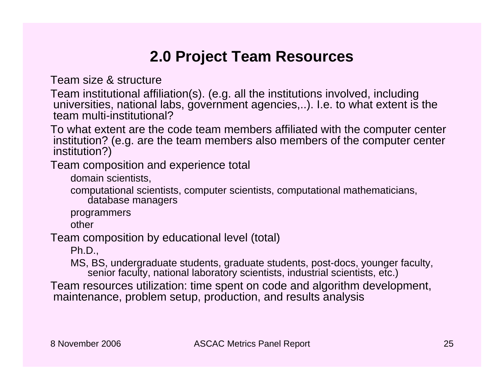#### **2.0 Project Team Resources**

Team size & structure

Team institutional affiliation(s). (e.g. all the institutions involved, including universities, national labs, government agencies,..). I.e. to what extent is the team multi-institutional?

To what extent are the code team members affiliated with the computer center institution? (e.g. are the team members also members of the computer center institution?)

Team composition and experience total

domain scientists,

computational scientists, computer scientists, computational mathematicians, database managers

programmers

other

Team composition by educational level (total)

Ph.D.,

MS, BS, undergraduate students, graduate students, post-docs, younger faculty, senior faculty, national laboratory scientists, industrial scientists, etc.)

Team resources utilization: time spent on code and algorithm development, maintenance, problem setup, production, and results analysis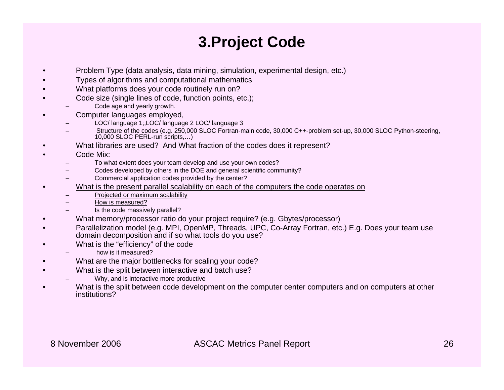#### **3.Project Code**

- •Problem Type (data analysis, data mining, simulation, experimental design, etc.)
- •Types of algorithms and computational mathematics
- •What platforms does your code routinely run on?
- • Code size (single lines of code, function points, etc.);
	- Code age and yearly growth.
- • Computer languages employed,
	- LOC/ language 1;,LOC/ language 2 LOC/ language 3
	- Structure of the codes (e.g. 250,000 SLOC Fortran-main code, 30,000 C++-problem set-up, 30,000 SLOC Python-steering, 10,000 SLOC PERL-run scripts,…)
- •What libraries are used? And What fraction of the codes does it represent?
- •Code Mix:

•

- To what extent does your team develop and use your own codes?
- Codes developed by others in the DOE and general scientific community?
- Commercial application codes provided by the center?
- What is the present parallel scalability on each of the computers the code operates on
	- Projected or maximum scalability
	- How is measured?
	- Is the code massively parallel?
- •What memory/processor ratio do your project require? (e.g. Gbytes/processor)
- • Parallelization model (e.g. MPI, OpenMP, Threads, UPC, Co-Array Fortran, etc.) E.g. Does your team use domain decomposition and if so what tools do you use?
- • What is the "efficiency" of the code
	- how is it measured?
- •What are the major bottlenecks for scaling your code?
- • What is the split between interactive and batch use?
	- Why, and is interactive more productive
- • What is the split between code development on the computer center computers and on computers at other institutions?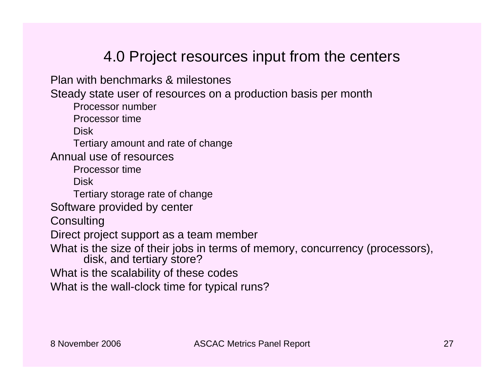#### 4.0 Project resources input from the centers

Plan with benchmarks & milestones

Steady state user of resources on a production basis per month

Processor number

Processor time

**Disk** 

Tertiary amount and rate of change

Annual use of resources

Processor time

Disk

Tertiary storage rate of change

Software provided by center

**Consulting** 

Direct project support as a team member

What is the size of their jobs in terms of memory, concurrency (processors), disk, and tertiary store?

What is the scalability of these codes

What is the wall-clock time for typical runs?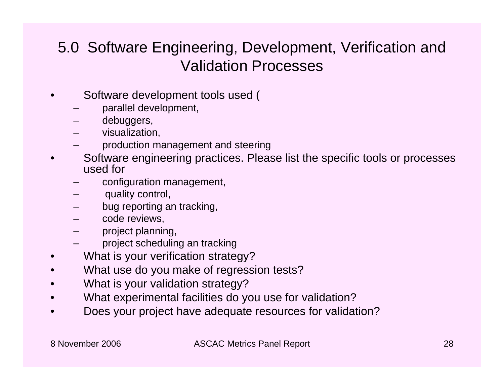#### 5.0 Software Engineering, Development, Verification and Validation Processes

- • Software development tools used (
	- –parallel development,
	- –debuggers,
	- –visualization,
	- –production management and steering
- • Software engineering practices. Please list the specific tools or processes used for
	- –configuration management,
	- –quality control,
	- –bug reporting an tracking,
	- –code reviews,
	- –project planning,
	- –project scheduling an tracking
- •What is your verification strategy?
- •What use do you make of regression tests?
- •What is your validation strategy?
- •What experimental facilities do you use for validation?
- •Does your project have adequate resources for validation?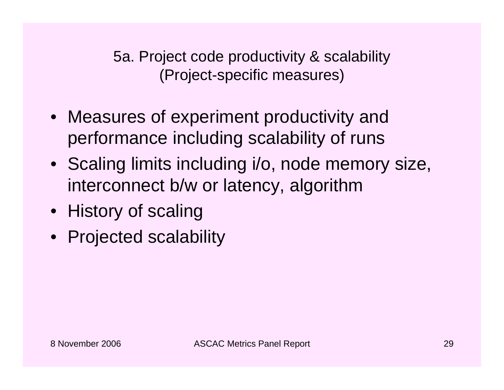5a. Project code productivity & scalability (Project-specific measures)

- Measures of experiment productivity and performance including scalability of runs
- Scaling limits including i/o, node memory size, interconnect b/w or latency, algorithm
- History of scaling
- Projected scalability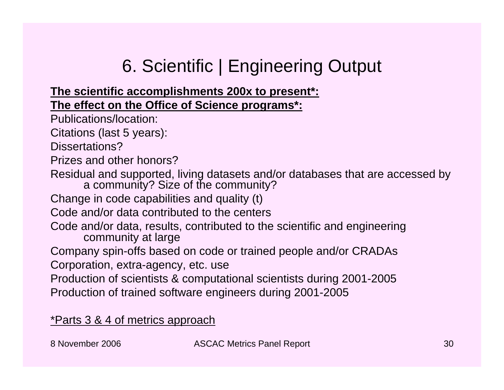## 6. Scientific | Engineering Output

#### **The scientific accomplishments 200x to present\*: The effect on the Office of Science programs\*:**

Publications/location:

Citations (last 5 years):

Dissertations?

Prizes and other honors?

Residual and supported, living datasets and/or databases that are accessed by a community? Size of the community?

Change in code capabilities and quality (t)

Code and/or data contributed to the centers

Code and/or data, results, contributed to the scientific and engineering community at large

Company spin-offs based on code or trained people and/or CRADAs

Corporation, extra-agency, etc. use

Production of scientists & computational scientists during 2001-2005 Production of trained software engineers during 2001-2005

\*Parts 3 & 4 of metrics approach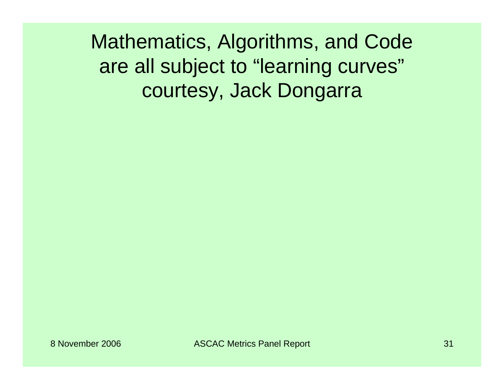Mathematics, Algorithms, and Code are all subject to "learning curves" courtesy, Jack Dongarra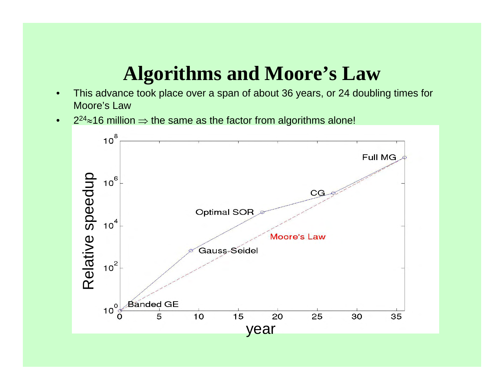### **Algorithms and Moore's Law**

- $\bullet$  This advance took place over a span of about 36 years, or 24 doubling times for Moore's Law
- $\bullet$ 2 $^{24}$ ≈16 million  $\Rightarrow$  the same as the factor from algorithms alone!

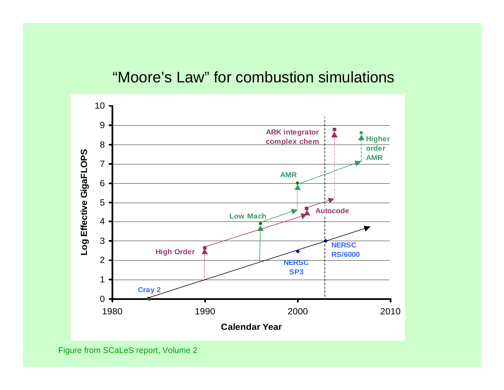#### "Moore's Law" for combustion simulations



Figure from SCaLeS report, Volume 2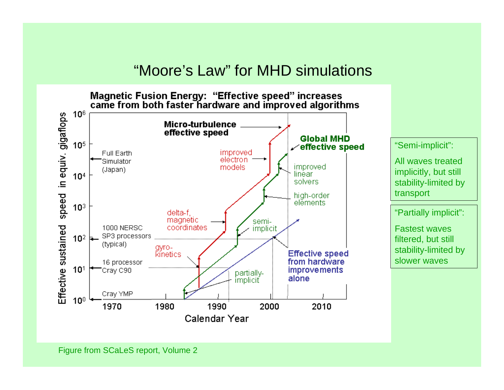#### "Moore's Law" for MHD simulations



"Semi-implicit":

All waves treated implicitly, but still stability-limited by transport

"Partially implicit":

Fastest waves filtered, but still stability-limited by slower waves

Figure from SCaLeS report, Volume 2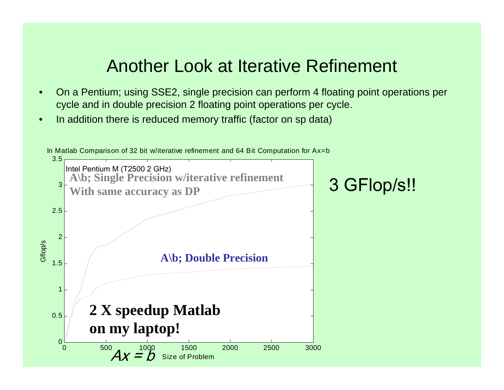#### Another Look at Iterative Refinement

- $\bullet$  On a Pentium; using SSE2, single precision can perform 4 floating point operations per cycle and in double precision 2 floating point operations per cycle.
- •In addition there is reduced memory traffic (factor on sp data)